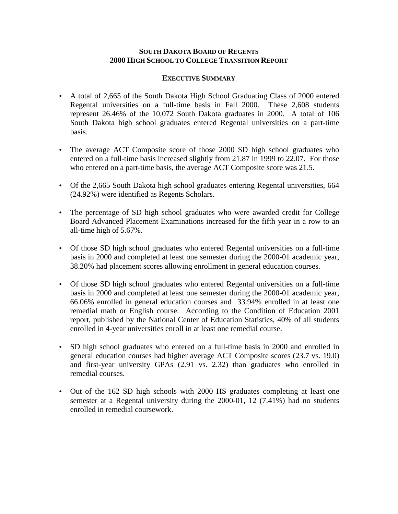## **SOUTH DAKOTA BOARD OF REGENTS 2000 HIGH SCHOOL TO COLLEGE TRANSITION REPORT**

#### **EXECUTIVE SUMMARY**

- A total of 2,665 of the South Dakota High School Graduating Class of 2000 entered Regental universities on a full-time basis in Fall 2000. These 2,608 students represent 26.46% of the 10,072 South Dakota graduates in 2000. A total of 106 South Dakota high school graduates entered Regental universities on a part-time basis.
- The average ACT Composite score of those 2000 SD high school graduates who entered on a full-time basis increased slightly from 21.87 in 1999 to 22.07. For those who entered on a part-time basis, the average ACT Composite score was 21.5.
- Of the 2,665 South Dakota high school graduates entering Regental universities, 664 (24.92%) were identified as Regents Scholars.
- The percentage of SD high school graduates who were awarded credit for College Board Advanced Placement Examinations increased for the fifth year in a row to an all-time high of 5.67%.
- Of those SD high school graduates who entered Regental universities on a full-time basis in 2000 and completed at least one semester during the 2000-01 academic year, 38.20% had placement scores allowing enrollment in general education courses.
- Of those SD high school graduates who entered Regental universities on a full-time basis in 2000 and completed at least one semester during the 2000-01 academic year, 66.06% enrolled in general education courses and 33.94% enrolled in at least one remedial math or English course. According to the Condition of Education 2001 report, published by the National Center of Education Statistics, 40% of all students enrolled in 4-year universities enroll in at least one remedial course.
- SD high school graduates who entered on a full-time basis in 2000 and enrolled in general education courses had higher average ACT Composite scores (23.7 vs. 19.0) and first-year university GPAs (2.91 vs. 2.32) than graduates who enrolled in remedial courses.
- Out of the 162 SD high schools with 2000 HS graduates completing at least one semester at a Regental university during the 2000-01, 12 (7.41%) had no students enrolled in remedial coursework.